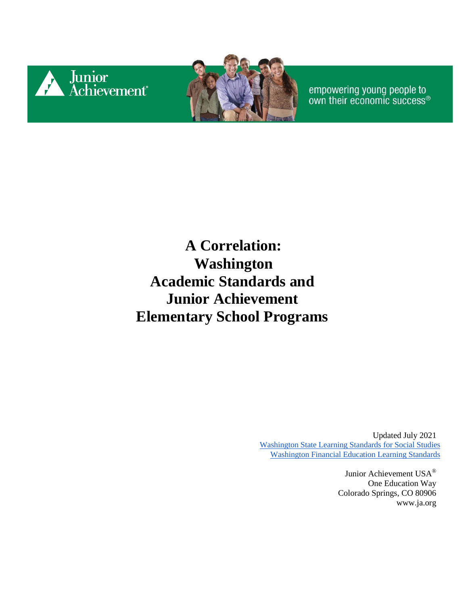



empowering young people to<br>own their economic success®

#### **A Correlation: Washington Academic Standards and Junior Achievement Elementary School Programs**

Updated July 2021 [Washington State Learning Standards for Social Studies](https://www.k12.wa.us/sites/default/files/public/socialstudies/standards/OSPI_SocStudies_Standards_2019.pdf) [Washington Financial Education Learning Standards](https://www.k12.wa.us/sites/default/files/public/curriculuminstruct/financialeducation/pubdocs/fek-12learningstandardsoct2016.pdf)

> Junior Achievement USA® One Education Way Colorado Springs, CO 80906 [www.ja.org](http://www.ja.org/)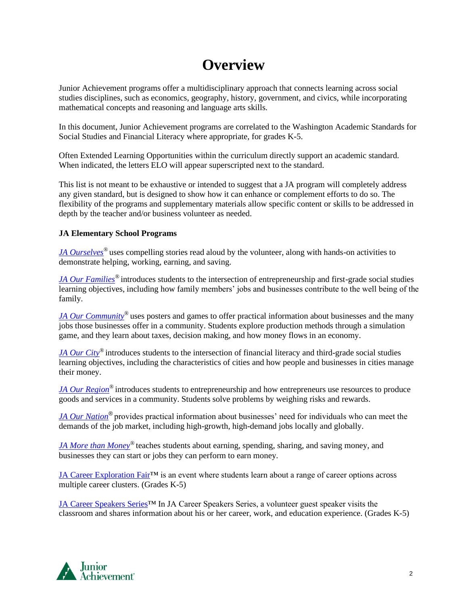#### **Overview**

Junior Achievement programs offer a multidisciplinary approach that connects learning across social studies disciplines, such as economics, geography, history, government, and civics, while incorporating mathematical concepts and reasoning and language arts skills.

In this document, Junior Achievement programs are correlated to the Washington Academic Standards for Social Studies and Financial Literacy where appropriate, for grades K-5.

Often Extended Learning Opportunities within the curriculum directly support an academic standard. When indicated, the letters ELO will appear superscripted next to the standard.

This list is not meant to be exhaustive or intended to suggest that a JA program will completely address any given standard, but is designed to show how it can enhance or complement efforts to do so. The flexibility of the programs and supplementary materials allow specific content or skills to be addressed in depth by the teacher and/or business volunteer as needed.

#### **JA Elementary School Programs**

*[JA Ourselves](#page-2-0)®* uses compelling stories read aloud by the volunteer, along with hands-on activities to demonstrate helping, working, earning, and saving.

*[JA Our Families](#page-4-0)®* introduces students to the intersection of entrepreneurship and first-grade social studies learning objectives, including how family members' jobs and businesses contribute to the well being of the family.

*[JA Our Community](#page-5-0)*<sup>®</sup> uses posters and games to offer practical information about businesses and the many jobs those businesses offer in a community. Students explore production methods through a simulation game, and they learn about taxes, decision making, and how money flows in an economy.

*[JA Our City](#page-8-0)®* introduces students to the intersection of financial literacy and third-grade social studies learning objectives, including the characteristics of cities and how people and businesses in cities manage their money.

*[JA Our Region](#page-10-0)®* introduces students to entrepreneurship and how entrepreneurs use resources to produce goods and services in a community. Students solve problems by weighing risks and rewards.

*[JA Our Nation](#page-13-0)®* provides practical information about businesses' need for individuals who can meet the demands of the job market, including high-growth, high-demand jobs locally and globally.

*[JA More than Money](#page-14-0)®* teaches students about earning, spending, sharing, and saving money, and businesses they can start or jobs they can perform to earn money.

JA Career Exploration Fair™ is an event where students learn about a range of career options across multiple career clusters. (Grades K-5)

[JA Career Speakers Series™](#page-18-0) In JA Career Speakers Series, a volunteer guest speaker visits the classroom and shares information about his or her career, work, and education experience. (Grades K-5)

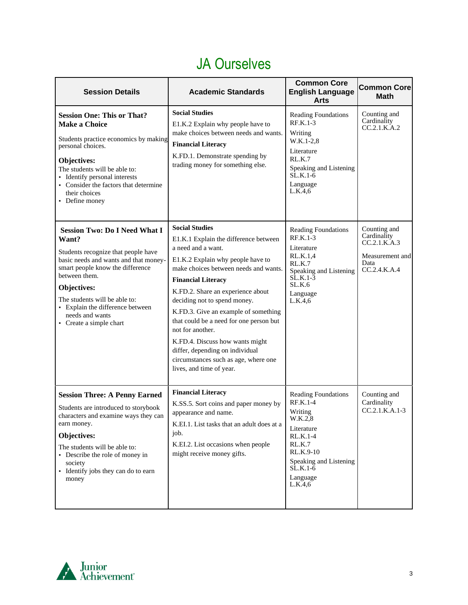## JA Ourselves

<span id="page-2-0"></span>

| <b>Session Details</b>                                                                                                                                                                                                                                                                                               | <b>Academic Standards</b>                                                                                                                                                                                                                                                                                                                                                                                                                                                                                             | <b>Common Core</b><br><b>English Language</b><br>Arts                                                                                                                              | <b>Common Core</b><br><b>Math</b>                                                      |
|----------------------------------------------------------------------------------------------------------------------------------------------------------------------------------------------------------------------------------------------------------------------------------------------------------------------|-----------------------------------------------------------------------------------------------------------------------------------------------------------------------------------------------------------------------------------------------------------------------------------------------------------------------------------------------------------------------------------------------------------------------------------------------------------------------------------------------------------------------|------------------------------------------------------------------------------------------------------------------------------------------------------------------------------------|----------------------------------------------------------------------------------------|
| <b>Session One: This or That?</b><br><b>Make a Choice</b><br>Students practice economics by making<br>personal choices.<br>Objectives:<br>The students will be able to:<br>· Identify personal interests<br>• Consider the factors that determine<br>their choices<br>• Define money                                 | <b>Social Studies</b><br>E1.K.2 Explain why people have to<br>make choices between needs and wants.<br><b>Financial Literacy</b><br>K.FD.1. Demonstrate spending by<br>trading money for something else.                                                                                                                                                                                                                                                                                                              | <b>Reading Foundations</b><br>$RF.K.1-3$<br>Writing<br>W.K.1-2,8<br>Literature<br>RL.K.7<br>Speaking and Listening<br>$\overline{\text{SL}}$ K.1-6<br>Language<br>L.K.4,6          | Counting and<br>Cardinality<br>CC.2.1.K.A.2                                            |
| <b>Session Two: Do I Need What I</b><br>Want?<br>Students recognize that people have<br>basic needs and wants and that money-<br>smart people know the difference<br>between them.<br>Objectives:<br>The students will be able to:<br>• Explain the difference between<br>needs and wants<br>• Create a simple chart | <b>Social Studies</b><br>E1.K.1 Explain the difference between<br>a need and a want.<br>E1.K.2 Explain why people have to<br>make choices between needs and wants.<br><b>Financial Literacy</b><br>K.FD.2. Share an experience about<br>deciding not to spend money.<br>K.FD.3. Give an example of something<br>that could be a need for one person but<br>not for another.<br>K.FD.4. Discuss how wants might<br>differ, depending on individual<br>circumstances such as age, where one<br>lives, and time of year. | Reading Foundations<br><b>RF.K.1-3</b><br>Literature<br>RL.K.1,4<br>RL.K.7<br>Speaking and Listening<br>$SLK.1-3$<br>SLK.6<br>Language<br>L.K.4,6                                  | Counting and<br>Cardinality<br>CC.2.1.K.A.3<br>Measurement and<br>Data<br>CC.2.4.K.A.4 |
| <b>Session Three: A Penny Earned</b><br>Students are introduced to storybook<br>characters and examine ways they can<br>earn money.<br>Objectives:<br>The students will be able to:<br>• Describe the role of money in<br>society<br>• Identify jobs they can do to earn<br>money                                    | <b>Financial Literacy</b><br>K.SS.5. Sort coins and paper money by<br>appearance and name.<br>K.EI.1. List tasks that an adult does at a<br>job.<br>K.EI.2. List occasions when people<br>might receive money gifts.                                                                                                                                                                                                                                                                                                  | Reading Foundations<br><b>RF.K.1-4</b><br>Writing<br>W.K.2,8<br>Literature<br>RL.K.1-4<br><b>RL.K.7</b><br>RL.K.9-10<br>Speaking and Listening<br>$SLK.1-6$<br>Language<br>L.K.4,6 | Counting and<br>Cardinality<br>$CC.2.1.K.A.1-3$                                        |

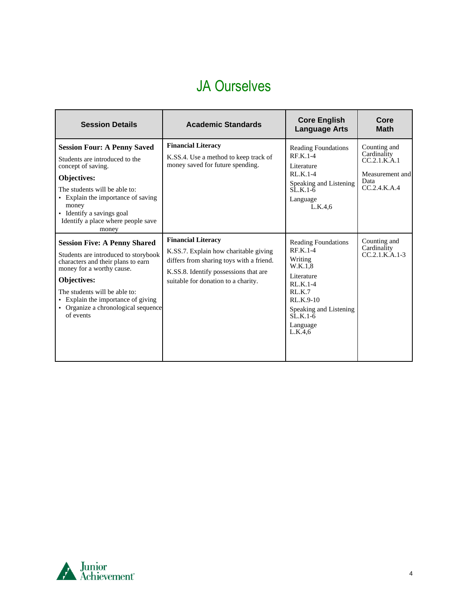### JA Ourselves

| <b>Session Details</b>                                                                                                                                                                                                                                                                   | <b>Academic Standards</b>                                                                                                                                                                        | <b>Core English</b><br><b>Language Arts</b>                                                                                                                                                        | Core<br><b>Math</b>                                                                    |
|------------------------------------------------------------------------------------------------------------------------------------------------------------------------------------------------------------------------------------------------------------------------------------------|--------------------------------------------------------------------------------------------------------------------------------------------------------------------------------------------------|----------------------------------------------------------------------------------------------------------------------------------------------------------------------------------------------------|----------------------------------------------------------------------------------------|
| <b>Session Four: A Penny Saved</b><br>Students are introduced to the<br>concept of saving.<br>Objectives:<br>The students will be able to:<br>• Explain the importance of saving<br>money<br>• Identify a savings goal<br>Identify a place where people save<br>money                    | <b>Financial Literacy</b><br>K.S.S.4. Use a method to keep track of<br>money saved for future spending.                                                                                          | <b>Reading Foundations</b><br>$R$ F.K.1-4<br>Literature<br>$RLK.1-4$<br>Speaking and Listening<br>$SLK.1-6$<br>Language<br>L.K.4.6                                                                 | Counting and<br>Cardinality<br>CC.2.1.K.A.1<br>Measurement and<br>Data<br>CC.2.4.K.A.4 |
| <b>Session Five: A Penny Shared</b><br>Students are introduced to storybook<br>characters and their plans to earn<br>money for a worthy cause.<br>Objectives:<br>The students will be able to:<br>• Explain the importance of giving<br>• Organize a chronological sequence<br>of events | <b>Financial Literacy</b><br>K.S.S.7. Explain how charitable giving<br>differs from sharing toys with a friend.<br>K.S.S.8. Identify possessions that are<br>suitable for donation to a charity. | <b>Reading Foundations</b><br>$R$ F.K.1-4<br>Writing<br>W.K.1.8<br>Literature<br>$RLK.1-4$<br>RLK.7<br>$RLK.9-10$<br>Speaking and Listening<br>$\overline{\text{SL}}$ K.1-6<br>Language<br>L.K.4.6 | Counting and<br>Cardinality<br>$CC.2.1.K.A.1-3$                                        |

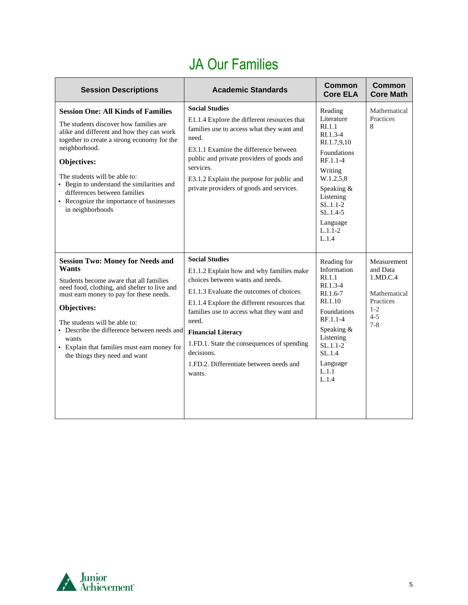# JA Our Families

<span id="page-4-0"></span>

| <b>Session Descriptions</b>                                                                                                                                                                                                                                                                                                                                                                    | <b>Academic Standards</b>                                                                                                                                                                                                                                                                                                                                                                            | <b>Common</b><br><b>Core ELA</b>                                                                                                                                                                                     | <b>Common</b><br><b>Core Math</b>                                                                 |
|------------------------------------------------------------------------------------------------------------------------------------------------------------------------------------------------------------------------------------------------------------------------------------------------------------------------------------------------------------------------------------------------|------------------------------------------------------------------------------------------------------------------------------------------------------------------------------------------------------------------------------------------------------------------------------------------------------------------------------------------------------------------------------------------------------|----------------------------------------------------------------------------------------------------------------------------------------------------------------------------------------------------------------------|---------------------------------------------------------------------------------------------------|
| <b>Session One: All Kinds of Families</b><br>The students discover how families are<br>alike and different and how they can work<br>together to create a strong economy for the<br>neighborhood.<br>Objectives:<br>The students will be able to:<br>• Begin to understand the similarities and<br>differences between families<br>• Recognize the importance of businesses<br>in neighborhoods | <b>Social Studies</b><br>E1.1.4 Explore the different resources that<br>families use to access what they want and<br>need.<br>E3.1.1 Examine the difference between<br>public and private providers of goods and<br>services.<br>E3.1.2 Explain the purpose for public and<br>private providers of goods and services.                                                                               | Reading<br>Literature<br>R <sub>L</sub> 1.1<br>$RI.1.3-4$<br>RI.1.7,9,10<br>Foundations<br>RF.1.1-4<br>Writing<br>W.1.2,5,8<br>Speaking &<br>Listening<br>$SL.1.1-2$<br>$SL.1.4-5$<br>Language<br>$L.1.1-2$<br>L.1.4 | Mathematical<br>Practices<br>8                                                                    |
| <b>Session Two: Money for Needs and</b><br>Wants<br>Students become aware that all families<br>need food, clothing, and shelter to live and<br>must earn money to pay for these needs.<br>Objectives:<br>The students will be able to:<br>• Describe the difference between needs and<br>wants<br>• Explain that families must earn money for<br>the things they need and want                 | <b>Social Studies</b><br>E1.1.2 Explain how and why families make<br>choices between wants and needs.<br>E1.1.3 Evaluate the outcomes of choices.<br>E1.1.4 Explore the different resources that<br>families use to access what they want and<br>need.<br><b>Financial Literacy</b><br>1.FD.1. State the consequences of spending<br>decisions.<br>1.FD.2. Differentiate between needs and<br>wants. | Reading for<br>Information<br>R <sub>L</sub> 1.1<br>$R1.3-4$<br>$R1.6-7$<br>R <sub>I.1.10</sub><br><b>Foundations</b><br>RF.1.1-4<br>Speaking &<br>Listening<br>$SL.1.1-2$<br>SL.1.4<br>Language<br>L.1.1<br>L.1.4   | Measurement<br>and Data<br>1.MD.C.4<br>Mathematical<br>Practices<br>$1 - 2$<br>$4 - 5$<br>$7 - 8$ |

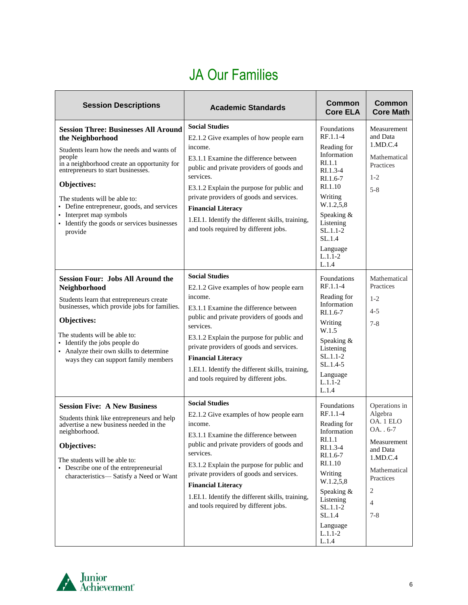#### JA Our Families

<span id="page-5-0"></span>

| <b>Session Descriptions</b>                                                                                                                                                                                                                                                                                                                                                                    | <b>Academic Standards</b>                                                                                                                                                                                                                                                                                                                                                                         | <b>Common</b><br><b>Core ELA</b>                                                                                                                                                                                           | <b>Common</b><br><b>Core Math</b>                                                                                                                        |
|------------------------------------------------------------------------------------------------------------------------------------------------------------------------------------------------------------------------------------------------------------------------------------------------------------------------------------------------------------------------------------------------|---------------------------------------------------------------------------------------------------------------------------------------------------------------------------------------------------------------------------------------------------------------------------------------------------------------------------------------------------------------------------------------------------|----------------------------------------------------------------------------------------------------------------------------------------------------------------------------------------------------------------------------|----------------------------------------------------------------------------------------------------------------------------------------------------------|
| <b>Session Three: Businesses All Around</b><br>the Neighborhood<br>Students learn how the needs and wants of<br>people<br>in a neighborhood create an opportunity for<br>entrepreneurs to start businesses.<br>Objectives:<br>The students will be able to:<br>• Define entrepreneur, goods, and services<br>• Interpret map symbols<br>• Identify the goods or services businesses<br>provide | <b>Social Studies</b><br>E2.1.2 Give examples of how people earn<br>income.<br>E3.1.1 Examine the difference between<br>public and private providers of goods and<br>services.<br>E3.1.2 Explain the purpose for public and<br>private providers of goods and services.<br><b>Financial Literacy</b><br>1.EI.1. Identify the different skills, training,<br>and tools required by different jobs. | <b>Foundations</b><br>RF.1.1-4<br>Reading for<br>Information<br>RI.1.1<br>$RI.1.3-4$<br>$RI.1.6-7$<br>RI.1.10<br>Writing<br>W.1.2,5,8<br>Speaking &<br>Listening<br>$SL.1.1-2$<br>SL.1.4<br>Language<br>$L.1.1-2$<br>L.1.4 | Measurement<br>and Data<br>1.MD.C.4<br>Mathematical<br>Practices<br>$1 - 2$<br>$5 - 8$                                                                   |
| <b>Session Four: Jobs All Around the</b><br>Neighborhood<br>Students learn that entrepreneurs create<br>businesses, which provide jobs for families.<br>Objectives:<br>The students will be able to:<br>• Identify the jobs people do<br>• Analyze their own skills to determine<br>ways they can support family members                                                                       | <b>Social Studies</b><br>E2.1.2 Give examples of how people earn<br>income.<br>E3.1.1 Examine the difference between<br>public and private providers of goods and<br>services.<br>E3.1.2 Explain the purpose for public and<br>private providers of goods and services.<br><b>Financial Literacy</b><br>1.EI.1. Identify the different skills, training,<br>and tools required by different jobs. | Foundations<br>RF.1.1-4<br>Reading for<br>Information<br>$RI.1.6-7$<br>Writing<br>W.1.5<br>Speaking &<br>Listening<br>$SL.1.1-2$<br>$SL.1.4-5$<br>Language<br>$L.1.1 - 2$<br>L.1.4                                         | Mathematical<br>Practices<br>$1 - 2$<br>$4 - 5$<br>$7 - 8$                                                                                               |
| <b>Session Five: A New Business</b><br>Students think like entrepreneurs and help<br>advertise a new business needed in the<br>neighborhood.<br>Objectives:<br>The students will be able to:<br>• Describe one of the entrepreneurial<br>characteristics-Satisfy a Need or Want                                                                                                                | <b>Social Studies</b><br>E2.1.2 Give examples of how people earn<br>income.<br>E3.1.1 Examine the difference between<br>public and private providers of goods and<br>services.<br>E3.1.2 Explain the purpose for public and<br>private providers of goods and services.<br><b>Financial Literacy</b><br>1.EI.1. Identify the different skills, training,<br>and tools required by different jobs. | <b>Foundations</b><br>RF.1.1-4<br>Reading for<br>Information<br>RI.1.1<br>RI.1.3-4<br>RI.1.6-7<br>RI.1.10<br>Writing<br>W.1.2,5,8<br>Speaking &<br>Listening<br>SL.1.1-2<br>SL.1.4<br>Language<br>$L.1.1-2$<br>L.1.4       | Operations in<br>Algebra<br>OA. 1 ELO<br>OA. . 6-7<br>Measurement<br>and Data<br>1.MD.C.4<br>Mathematical<br>Practices<br>2<br>$\overline{4}$<br>$7 - 8$ |

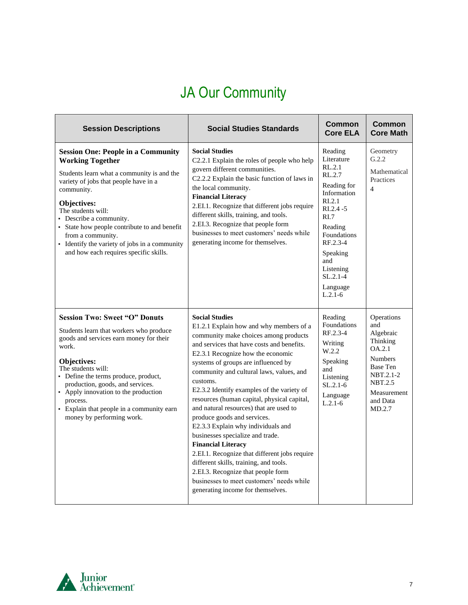# JA Our Community

| <b>Session Descriptions</b>                                                                                                                                                                                                                                                                                                                                                                               | <b>Social Studies Standards</b>                                                                                                                                                                                                                                                                                                                                                                                                                                                                                                                                                                                                                                                                                                                                                              | Common<br><b>Core ELA</b>                                                                                                                                                                                                              | <b>Common</b><br><b>Core Math</b>                                                                                                               |
|-----------------------------------------------------------------------------------------------------------------------------------------------------------------------------------------------------------------------------------------------------------------------------------------------------------------------------------------------------------------------------------------------------------|----------------------------------------------------------------------------------------------------------------------------------------------------------------------------------------------------------------------------------------------------------------------------------------------------------------------------------------------------------------------------------------------------------------------------------------------------------------------------------------------------------------------------------------------------------------------------------------------------------------------------------------------------------------------------------------------------------------------------------------------------------------------------------------------|----------------------------------------------------------------------------------------------------------------------------------------------------------------------------------------------------------------------------------------|-------------------------------------------------------------------------------------------------------------------------------------------------|
| <b>Session One: People in a Community</b><br><b>Working Together</b><br>Students learn what a community is and the<br>variety of jobs that people have in a<br>community.<br>Objectives:<br>The students will:<br>• Describe a community.<br>• State how people contribute to and benefit<br>from a community.<br>• Identify the variety of jobs in a community<br>and how each requires specific skills. | <b>Social Studies</b><br>C2.2.1 Explain the roles of people who help<br>govern different communities.<br>C2.2.2 Explain the basic function of laws in<br>the local community.<br><b>Financial Literacy</b><br>2.EI.1. Recognize that different jobs require<br>different skills, training, and tools.<br>2.EI.3. Recognize that people form<br>businesses to meet customers' needs while<br>generating income for themselves.                                                                                                                                                                                                                                                                                                                                                                | Reading<br>Literature<br>RL.2.1<br>RL.2.7<br>Reading for<br>Information<br>R <sub>L</sub> 2.1<br>$RL.2.4 - 5$<br>RI.7<br>Reading<br>Foundations<br>$RF.2.3-4$<br>Speaking<br>and<br>Listening<br>$SL.2.1 - 4$<br>Language<br>$L.2.1-6$ | Geometry<br>G.2.2<br>Mathematical<br>Practices<br>$\overline{4}$                                                                                |
| <b>Session Two: Sweet "O" Donuts</b><br>Students learn that workers who produce<br>goods and services earn money for their<br>work.<br>Objectives:<br>The students will:<br>• Define the terms produce, product,<br>production, goods, and services.<br>• Apply innovation to the production<br>process.<br>• Explain that people in a community earn<br>money by performing work.                        | <b>Social Studies</b><br>E1.2.1 Explain how and why members of a<br>community make choices among products<br>and services that have costs and benefits.<br>E2.3.1 Recognize how the economic<br>systems of groups are influenced by<br>community and cultural laws, values, and<br>customs.<br>E2.3.2 Identify examples of the variety of<br>resources (human capital, physical capital,<br>and natural resources) that are used to<br>produce goods and services.<br>E2.3.3 Explain why individuals and<br>businesses specialize and trade.<br><b>Financial Literacy</b><br>2.EI.1. Recognize that different jobs require<br>different skills, training, and tools.<br>2.EI.3. Recognize that people form<br>businesses to meet customers' needs while<br>generating income for themselves. | Reading<br>Foundations<br>RF.2.3-4<br>Writing<br>W.2.2<br>Speaking<br>and<br>Listening<br>$SL.2.1-6$<br>Language<br>$L.2.1-6$                                                                                                          | Operations<br>and<br>Algebraic<br>Thinking<br>OA.2.1<br>Numbers<br>Base Ten<br>NBT.2.1-2<br><b>NBT.2.5</b><br>Measurement<br>and Data<br>MD.2.7 |

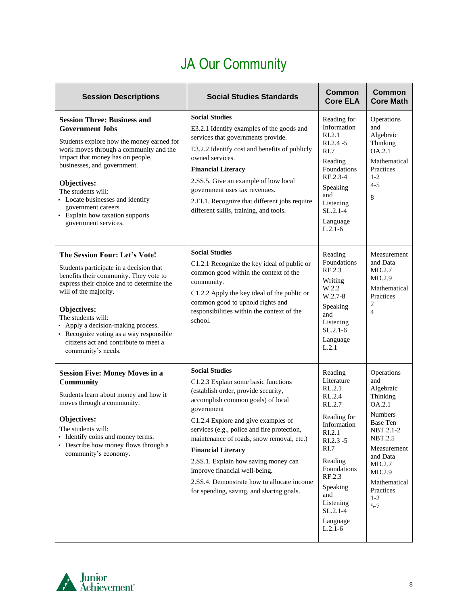# JA Our Community

| <b>Session Descriptions</b>                                                                                                                                                                                                                                                                                                                                                      | <b>Social Studies Standards</b>                                                                                                                                                                                                                                                                                                                                                                                                                                                           | <b>Common</b><br><b>Core ELA</b>                                                                                                                                                                                               | <b>Common</b><br><b>Core Math</b>                                                                                                                                                                                 |
|----------------------------------------------------------------------------------------------------------------------------------------------------------------------------------------------------------------------------------------------------------------------------------------------------------------------------------------------------------------------------------|-------------------------------------------------------------------------------------------------------------------------------------------------------------------------------------------------------------------------------------------------------------------------------------------------------------------------------------------------------------------------------------------------------------------------------------------------------------------------------------------|--------------------------------------------------------------------------------------------------------------------------------------------------------------------------------------------------------------------------------|-------------------------------------------------------------------------------------------------------------------------------------------------------------------------------------------------------------------|
| <b>Session Three: Business and</b><br><b>Government Jobs</b><br>Students explore how the money earned for<br>work moves through a community and the<br>impact that money has on people,<br>businesses, and government.<br>Objectives:<br>The students will:<br>• Locate businesses and identify<br>government careers<br>• Explain how taxation supports<br>government services. | <b>Social Studies</b><br>E3.2.1 Identify examples of the goods and<br>services that governments provide.<br>E3.2.2 Identify cost and benefits of publicly<br>owned services.<br><b>Financial Literacy</b><br>2.SS.5. Give an example of how local<br>government uses tax revenues.<br>2.EI.1. Recognize that different jobs require<br>different skills, training, and tools.                                                                                                             | Reading for<br>Information<br>RI.2.1<br>$RL.2.4 - 5$<br>R <sub>L</sub> 7<br>Reading<br>Foundations<br>RF.2.3-4<br>Speaking<br>and<br>Listening<br>$SL.2.1-4$<br>Language<br>$L.2.1-6$                                          | Operations<br>and<br>Algebraic<br>Thinking<br>OA.2.1<br>Mathematical<br>Practices<br>$1 - 2$<br>$4 - 5$<br>8                                                                                                      |
| The Session Four: Let's Vote!<br>Students participate in a decision that<br>benefits their community. They vote to<br>express their choice and to determine the<br>will of the majority.<br>Objectives:<br>The students will:<br>• Apply a decision-making process.<br>• Recognize voting as a way responsible<br>citizens act and contribute to meet a<br>community's needs.    | <b>Social Studies</b><br>C1.2.1 Recognize the key ideal of public or<br>common good within the context of the<br>community.<br>C1.2.2 Apply the key ideal of the public or<br>common good to uphold rights and<br>responsibilities within the context of the<br>school.                                                                                                                                                                                                                   | Reading<br>Foundations<br>RF.2.3<br>Writing<br>W.2.2<br>$W.2.7-8$<br>Speaking<br>and<br>Listening<br>$SL.2.1-6$<br>Language<br>L.2.1                                                                                           | Measurement<br>and Data<br>MD.2.7<br>MD.2.9<br>Mathematical<br>Practices<br>$\overline{2}$<br>$\overline{\mathcal{A}}$                                                                                            |
| <b>Session Five: Money Moves in a</b><br><b>Community</b><br>Students learn about money and how it<br>moves through a community.<br>Objectives:<br>The students will:<br>• Identify coins and money terms.<br>• Describe how money flows through a<br>community's economy.                                                                                                       | <b>Social Studies</b><br>C1.2.3 Explain some basic functions<br>(establish order, provide security,<br>accomplish common goals) of local<br>government<br>C1.2.4 Explore and give examples of<br>services (e.g., police and fire protection,<br>maintenance of roads, snow removal, etc.)<br><b>Financial Literacy</b><br>2.SS.1. Explain how saving money can<br>improve financial well-being.<br>2.SS.4. Demonstrate how to allocate income<br>for spending, saving, and sharing goals. | Reading<br>Literature<br>RL.2.1<br>RL.2.4<br>RL.2.7<br>Reading for<br>Information<br>RI.2.1<br>$RI.2.3 - 5$<br>RI.7<br>Reading<br>Foundations<br>RF.2.3<br>Speaking<br>and<br>Listening<br>$SL.2.1-4$<br>Language<br>$L.2.1-6$ | Operations<br>and<br>Algebraic<br>Thinking<br>OA.2.1<br><b>Numbers</b><br><b>Base Ten</b><br>NBT.2.1-2<br>NBT.2.5<br>Measurement<br>and Data<br>MD.2.7<br>MD.2.9<br>Mathematical<br>Practices<br>$1-2$<br>$5 - 7$ |

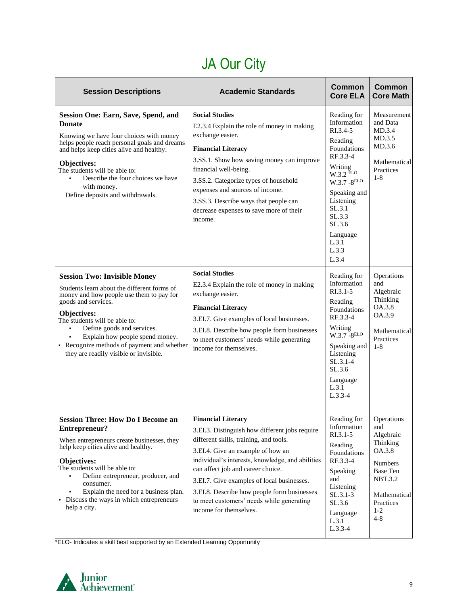# JA Our City

<span id="page-8-0"></span>

| <b>Session Descriptions</b>                                                                                                                                                                                                                                                                                                                                    | <b>Academic Standards</b>                                                                                                                                                                                                                                                                                                                                                                                               | <b>Common</b><br><b>Core ELA</b>                                                                                                                                                                                              | Common<br><b>Core Math</b>                                                                                                                     |
|----------------------------------------------------------------------------------------------------------------------------------------------------------------------------------------------------------------------------------------------------------------------------------------------------------------------------------------------------------------|-------------------------------------------------------------------------------------------------------------------------------------------------------------------------------------------------------------------------------------------------------------------------------------------------------------------------------------------------------------------------------------------------------------------------|-------------------------------------------------------------------------------------------------------------------------------------------------------------------------------------------------------------------------------|------------------------------------------------------------------------------------------------------------------------------------------------|
| <b>Session One: Earn, Save, Spend, and</b><br><b>Donate</b><br>Knowing we have four choices with money<br>helps people reach personal goals and dreams<br>and helps keep cities alive and healthy.<br><b>Objectives:</b><br>The students will be able to:<br>Describe the four choices we have<br>with money.<br>Define deposits and withdrawals.              | <b>Social Studies</b><br>E2.3.4 Explain the role of money in making<br>exchange easier.<br><b>Financial Literacy</b><br>3.SS.1. Show how saving money can improve<br>financial well-being.<br>3.SS.2. Categorize types of household<br>expenses and sources of income.<br>3.SS.3. Describe ways that people can<br>decrease expenses to save more of their<br>income.                                                   | Reading for<br>Information<br>RI.3.4-5<br>Reading<br>Foundations<br>RF.3.3-4<br>Writing<br>$W.3.2$ ELO<br>$W.3.7 - 8^{ELO}$<br>Speaking and<br>Listening<br>SL.3.1<br>SL.3.3<br>SL.3.6<br>Language<br>L.3.1<br>L.3.3<br>L.3.4 | Measurement<br>and Data<br>MD.3.4<br>MD.3.5<br>MD.3.6<br>Mathematical<br>Practices<br>$1 - 8$                                                  |
| <b>Session Two: Invisible Money</b><br>Students learn about the different forms of<br>money and how people use them to pay for<br>goods and services.<br>Objectives:<br>The students will be able to:<br>Define goods and services.<br>Explain how people spend money.<br>• Recognize methods of payment and whether<br>they are readily visible or invisible. | <b>Social Studies</b><br>E2.3.4 Explain the role of money in making<br>exchange easier.<br><b>Financial Literacy</b><br>3.EI.7. Give examples of local businesses.<br>3.EI.8. Describe how people form businesses<br>to meet customers' needs while generating<br>income for themselves.                                                                                                                                | Reading for<br>Information<br>$RI.3.1 - 5$<br>Reading<br>Foundations<br>RF.3.3-4<br>Writing<br>$W.3.7 - 8ELO$<br>Speaking and<br>Listening<br>$SL.3.1-4$<br>SL.3.6<br>Language<br>L.3.1<br>$L.3.3-4$                          | Operations<br>and<br>Algebraic<br>Thinking<br>OA.3.8<br>OA.3.9<br>Mathematical<br>Practices<br>$1 - 8$                                         |
| <b>Session Three: How Do I Become an</b><br>Entrepreneur?<br>When entrepreneurs create businesses, they<br>help keep cities alive and healthy.<br>Objectives:<br>The students will be able to:<br>Define entrepreneur, producer, and<br>consumer.<br>Explain the need for a business plan.<br>٠<br>Discuss the ways in which entrepreneurs<br>help a city.     | <b>Financial Literacy</b><br>3.EI.3. Distinguish how different jobs require<br>different skills, training, and tools.<br>3.EI.4. Give an example of how an<br>individual's interests, knowledge, and abilities<br>can affect job and career choice.<br>3.EI.7. Give examples of local businesses.<br>3.EI.8. Describe how people form businesses<br>to meet customers' needs while generating<br>income for themselves. | Reading for   Operations<br>Information<br>RI.3.1-5<br>Reading<br>Foundations<br>RF.3.3-4<br>Speaking<br>and<br>Listening<br>$SL.3.1-3$<br>SL.3.6<br>Language<br>L.3.1<br>$L.3.3-4$                                           | and<br>Algebraic<br>Thinking<br>OA.3.8<br><b>Numbers</b><br><b>Base Ten</b><br><b>NBT.3.2</b><br>Mathematical<br>Practices<br>$1-2$<br>$4 - 8$ |

\*ELO- Indicates a skill best supported by an Extended Learning Opportunity

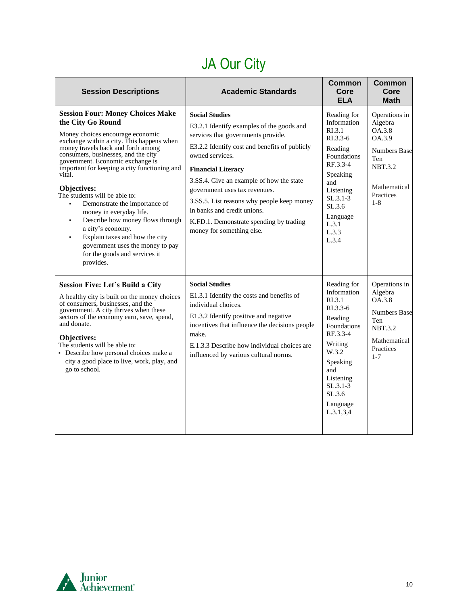# JA Our City

| <b>Session Descriptions</b>                                                                                                                                                                                                                                                                                                                                                                                                                                                                                                                                                                                                                   | <b>Academic Standards</b>                                                                                                                                                                                                                                                                                                                                                                                                                   | Common<br>Core<br><b>ELA</b>                                                                                                                                                                              | <b>Common</b><br>Core<br><b>Math</b>                                                                                                 |
|-----------------------------------------------------------------------------------------------------------------------------------------------------------------------------------------------------------------------------------------------------------------------------------------------------------------------------------------------------------------------------------------------------------------------------------------------------------------------------------------------------------------------------------------------------------------------------------------------------------------------------------------------|---------------------------------------------------------------------------------------------------------------------------------------------------------------------------------------------------------------------------------------------------------------------------------------------------------------------------------------------------------------------------------------------------------------------------------------------|-----------------------------------------------------------------------------------------------------------------------------------------------------------------------------------------------------------|--------------------------------------------------------------------------------------------------------------------------------------|
| <b>Session Four: Money Choices Make</b><br>the City Go Round<br>Money choices encourage economic<br>exchange within a city. This happens when<br>money travels back and forth among<br>consumers, businesses, and the city<br>government. Economic exchange is<br>important for keeping a city functioning and<br>vital.<br>Objectives:<br>The students will be able to:<br>Demonstrate the importance of<br>$\blacksquare$<br>money in everyday life.<br>Describe how money flows through<br>٠<br>a city's economy.<br>Explain taxes and how the city<br>٠<br>government uses the money to pay<br>for the goods and services it<br>provides. | <b>Social Studies</b><br>E3.2.1 Identify examples of the goods and<br>services that governments provide.<br>E3.2.2 Identify cost and benefits of publicly<br>owned services.<br><b>Financial Literacy</b><br>3.SS.4. Give an example of how the state<br>government uses tax revenues.<br>3.SS.5. List reasons why people keep money<br>in banks and credit unions.<br>K.FD.1. Demonstrate spending by trading<br>money for something else. | Reading for<br>Information<br>R <sub>L</sub> 3.1<br>$R1.3.3-6$<br>Reading<br>Foundations<br>RF.3.3-4<br>Speaking<br>and<br>Listening<br>$SL.3.1-3$<br>SL.3.6<br>Language<br>L.3.1<br>L.3.3<br>L.3.4       | Operations in<br>Algebra<br>OA.3.8<br>OA.3.9<br><b>Numbers Base</b><br>Ten<br><b>NBT.3.2</b><br>Mathematical<br>Practices<br>$1 - 8$ |
| <b>Session Five: Let's Build a City</b><br>A healthy city is built on the money choices<br>of consumers, businesses, and the<br>government. A city thrives when these<br>sectors of the economy earn, save, spend,<br>and donate.<br>Objectives:<br>The students will be able to:<br>• Describe how personal choices make a<br>city a good place to live, work, play, and<br>go to school.                                                                                                                                                                                                                                                    | <b>Social Studies</b><br>E1.3.1 Identify the costs and benefits of<br>individual choices.<br>E1.3.2 Identify positive and negative<br>incentives that influence the decisions people<br>make.<br>E.1.3.3 Describe how individual choices are<br>influenced by various cultural norms.                                                                                                                                                       | Reading for<br>Information<br>R <sub>L</sub> 3.1<br>$R1.3.3-6$<br>Reading<br>Foundations<br>RF.3.3-4<br>Writing<br>W.3.2<br>Speaking<br>and<br>Listening<br>$SL.3.1-3$<br>SL.3.6<br>Language<br>L.3.1.3.4 | Operations in<br>Algebra<br>OA.3.8<br><b>Numbers Base</b><br>Ten<br><b>NBT.3.2</b><br>Mathematical<br>Practices<br>$1 - 7$           |

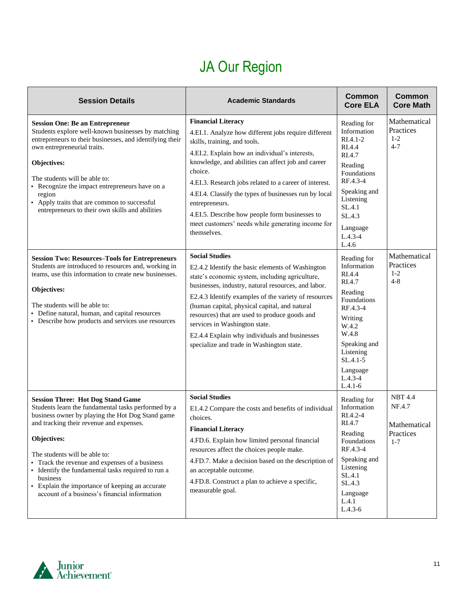## JA Our Region

<span id="page-10-0"></span>

| <b>Session Details</b>                                                                                                                                                                                                                                                                                                                                                                                                                                                | <b>Academic Standards</b>                                                                                                                                                                                                                                                                                                                                                                                                                                                                       | Common<br><b>Core ELA</b>                                                                                                                                                                            | <b>Common</b><br><b>Core Math</b>                                |
|-----------------------------------------------------------------------------------------------------------------------------------------------------------------------------------------------------------------------------------------------------------------------------------------------------------------------------------------------------------------------------------------------------------------------------------------------------------------------|-------------------------------------------------------------------------------------------------------------------------------------------------------------------------------------------------------------------------------------------------------------------------------------------------------------------------------------------------------------------------------------------------------------------------------------------------------------------------------------------------|------------------------------------------------------------------------------------------------------------------------------------------------------------------------------------------------------|------------------------------------------------------------------|
| <b>Session One: Be an Entrepreneur</b><br>Students explore well-known businesses by matching<br>entrepreneurs to their businesses, and identifying their<br>own entrepreneurial traits.<br>Objectives:<br>The students will be able to:<br>• Recognize the impact entrepreneurs have on a<br>region<br>• Apply traits that are common to successful<br>entrepreneurs to their own skills and abilities                                                                | <b>Financial Literacy</b><br>4.EI.1. Analyze how different jobs require different<br>skills, training, and tools.<br>4.EI.2. Explain how an individual's interests,<br>knowledge, and abilities can affect job and career<br>choice.<br>4.EI.3. Research jobs related to a career of interest.<br>4.EI.4. Classify the types of businesses run by local<br>entrepreneurs.<br>4.EI.5. Describe how people form businesses to<br>meet customers' needs while generating income for<br>themselves. | Reading for<br>Information<br>$RI.4.1-2$<br>RI.4.4<br>RI.4.7<br>Reading<br>Foundations<br>RF.4.3-4<br>Speaking and<br>Listening<br>SL.4.1<br>SL.4.3<br>Language<br>$L.4.3 - 4$<br>L.4.6              | Mathematical<br>Practices<br>$1-2$<br>$4 - 7$                    |
| <b>Session Two: Resources-Tools for Entrepreneurs</b><br>Students are introduced to resources and, working in<br>teams, use this information to create new businesses.<br>Objectives:<br>The students will be able to:<br>• Define natural, human, and capital resources<br>• Describe how products and services use resources                                                                                                                                        | <b>Social Studies</b><br>E2.4.2 Identify the basic elements of Washington<br>state's economic system, including agriculture,<br>businesses, industry, natural resources, and labor.<br>E2.4.3 Identify examples of the variety of resources<br>(human capital, physical capital, and natural<br>resources) that are used to produce goods and<br>services in Washington state.<br>E2.4.4 Explain why individuals and businesses<br>specialize and trade in Washington state.                    | Reading for<br>Information<br>RI.4.4<br>RI.4.7<br>Reading<br>Foundations<br>RF.4.3-4<br>Writing<br>W.4.2<br>W.4.8<br>Speaking and<br>Listening<br>$SL.4.1-5$<br>Language<br>$L.4.3 - 4$<br>$L.4.1-6$ | Mathematical<br>Practices<br>$1 - 2$<br>$4 - 8$                  |
| <b>Session Three: Hot Dog Stand Game</b><br>Students learn the fundamental tasks performed by a<br>business owner by playing the Hot Dog Stand game<br>and tracking their revenue and expenses.<br>Objectives:<br>The students will be able to:<br>Track the revenue and expenses of a business<br>• Identify the fundamental tasks required to run a<br>business<br>• Explain the importance of keeping an accurate<br>account of a business's financial information | <b>Social Studies</b><br>E1.4.2 Compare the costs and benefits of individual<br>choices.<br><b>Financial Literacy</b><br>4.FD.6. Explain how limited personal financial<br>resources affect the choices people make.<br>4.FD.7. Make a decision based on the description of<br>an acceptable outcome.<br>4.FD.8. Construct a plan to achieve a specific,<br>measurable goal.                                                                                                                    | Reading for<br>Information<br>RI.4.2-4<br>RI.4.7<br>Reading<br>Foundations<br>RF.4.3-4<br>Speaking and<br>Listening<br>SL.4.1<br>SL.4.3<br>Language<br>L.4.1<br>$L.4.3-6$                            | <b>NBT 4.4</b><br>NF.4.7<br>Mathematical<br>Practices<br>$1 - 7$ |

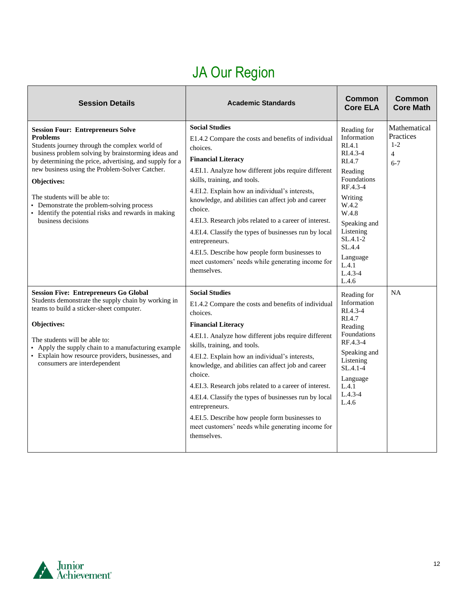# JA Our Region

| <b>Session Details</b>                                                                                                                                                                                                                                                                                                                                                                                                                                      | <b>Academic Standards</b>                                                                                                                                                                                                                                                                                                                                                                                                                                                                                                                                                                   | <b>Common</b><br><b>Core ELA</b>                                                                                                                                                                                                                | Common<br><b>Core Math</b>                                        |
|-------------------------------------------------------------------------------------------------------------------------------------------------------------------------------------------------------------------------------------------------------------------------------------------------------------------------------------------------------------------------------------------------------------------------------------------------------------|---------------------------------------------------------------------------------------------------------------------------------------------------------------------------------------------------------------------------------------------------------------------------------------------------------------------------------------------------------------------------------------------------------------------------------------------------------------------------------------------------------------------------------------------------------------------------------------------|-------------------------------------------------------------------------------------------------------------------------------------------------------------------------------------------------------------------------------------------------|-------------------------------------------------------------------|
| <b>Session Four: Entrepreneurs Solve</b><br><b>Problems</b><br>Students journey through the complex world of<br>business problem solving by brainstorming ideas and<br>by determining the price, advertising, and supply for a<br>new business using the Problem-Solver Catcher.<br>Objectives:<br>The students will be able to:<br>• Demonstrate the problem-solving process<br>• Identify the potential risks and rewards in making<br>business decisions | <b>Social Studies</b><br>E1.4.2 Compare the costs and benefits of individual<br>choices.<br><b>Financial Literacy</b><br>4.EI.1. Analyze how different jobs require different<br>skills, training, and tools.<br>4.EI.2. Explain how an individual's interests,<br>knowledge, and abilities can affect job and career<br>choice.<br>4.EI.3. Research jobs related to a career of interest.<br>4.EI.4. Classify the types of businesses run by local<br>entrepreneurs.<br>4.EI.5. Describe how people form businesses to<br>meet customers' needs while generating income for<br>themselves. | Reading for<br>Information<br>R <sub>I.4.1</sub><br>$RI.4.3-4$<br>RI.4.7<br>Reading<br>Foundations<br>RF.4.3-4<br>Writing<br>W.4.2<br>W.4.8<br>Speaking and<br>Listening<br>$SL.4.1 - 2$<br>SL.4.4<br>Language<br>L.4.1<br>$L.4.3 - 4$<br>L.4.6 | Mathematical<br>Practices<br>$1 - 2$<br>$\overline{4}$<br>$6 - 7$ |
| <b>Session Five: Entrepreneurs Go Global</b><br>Students demonstrate the supply chain by working in<br>teams to build a sticker-sheet computer.<br>Objectives:<br>The students will be able to:<br>• Apply the supply chain to a manufacturing example<br>• Explain how resource providers, businesses, and<br>consumers are interdependent                                                                                                                 | <b>Social Studies</b><br>E1.4.2 Compare the costs and benefits of individual<br>choices.<br><b>Financial Literacy</b><br>4.EI.1. Analyze how different jobs require different<br>skills, training, and tools.<br>4.EI.2. Explain how an individual's interests,<br>knowledge, and abilities can affect job and career<br>choice.<br>4.EI.3. Research jobs related to a career of interest.<br>4.EI.4. Classify the types of businesses run by local<br>entrepreneurs.<br>4.EI.5. Describe how people form businesses to<br>meet customers' needs while generating income for<br>themselves. | Reading for<br>Information<br>$RIA.3-4$<br>RI.4.7<br>Reading<br>Foundations<br>RF.4.3-4<br>Speaking and<br>Listening<br>$SL.4.1 - 4$<br>Language<br>L.4.1<br>$L.4.3 - 4$<br>L.4.6                                                               | <b>NA</b>                                                         |

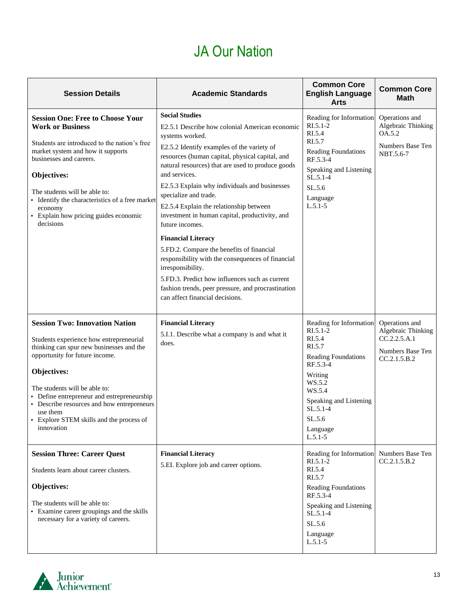## JA Our Nation

| <b>Session Details</b>                                                                                                                                                                                                                                                                                                                                                         | <b>Academic Standards</b>                                                                                                                                                                                                                                                                                                                                                                                                                                                                                                                                                                                                                                                                                                                                  | <b>Common Core</b><br><b>English Language</b><br><b>Arts</b>                                                                                                                                                  | <b>Common Core</b><br>Math                                                               |
|--------------------------------------------------------------------------------------------------------------------------------------------------------------------------------------------------------------------------------------------------------------------------------------------------------------------------------------------------------------------------------|------------------------------------------------------------------------------------------------------------------------------------------------------------------------------------------------------------------------------------------------------------------------------------------------------------------------------------------------------------------------------------------------------------------------------------------------------------------------------------------------------------------------------------------------------------------------------------------------------------------------------------------------------------------------------------------------------------------------------------------------------------|---------------------------------------------------------------------------------------------------------------------------------------------------------------------------------------------------------------|------------------------------------------------------------------------------------------|
| <b>Session One: Free to Choose Your</b><br><b>Work or Business</b><br>Students are introduced to the nation's free<br>market system and how it supports<br>businesses and careers.<br>Objectives:<br>The students will be able to:<br>• Identify the characteristics of a free market<br>economy<br>• Explain how pricing guides economic<br>decisions                         | <b>Social Studies</b><br>E2.5.1 Describe how colonial American economic<br>systems worked.<br>E2.5.2 Identify examples of the variety of<br>resources (human capital, physical capital, and<br>natural resources) that are used to produce goods<br>and services.<br>E2.5.3 Explain why individuals and businesses<br>specialize and trade.<br>E2.5.4 Explain the relationship between<br>investment in human capital, productivity, and<br>future incomes.<br><b>Financial Literacy</b><br>5.FD.2. Compare the benefits of financial<br>responsibility with the consequences of financial<br>irresponsibility.<br>5.FD.3. Predict how influences such as current<br>fashion trends, peer pressure, and procrastination<br>can affect financial decisions. | Reading for Information<br>$RI.5.1-2$<br>RI.5.4<br>RI.5.7<br>Reading Foundations<br>RF.5.3-4<br>Speaking and Listening<br>$SL.5.1-4$<br>SL.5.6<br>Language<br>$L.5.1 - 5$                                     | Operations and<br>Algebraic Thinking<br>OA.5.2<br>Numbers Base Ten<br>NBT.5.6-7          |
| <b>Session Two: Innovation Nation</b><br>Students experience how entrepreneurial<br>thinking can spur new businesses and the<br>opportunity for future income.<br>Objectives:<br>The students will be able to:<br>• Define entrepreneur and entrepreneurship<br>• Describe resources and how entrepreneurs<br>use them<br>Explore STEM skills and the process of<br>innovation | <b>Financial Literacy</b><br>5.I.1. Describe what a company is and what it<br>does.                                                                                                                                                                                                                                                                                                                                                                                                                                                                                                                                                                                                                                                                        | Reading for Information<br>$RI.5.1-2$<br>RI.5.4<br>RI.5.7<br><b>Reading Foundations</b><br>RF.5.3-4<br>Writing<br>WS.5.2<br>WS.5.4<br>Speaking and Listening<br>$SL.5.1-4$<br>SL.5.6<br>Language<br>$L.5.1-5$ | Operations and<br>Algebraic Thinking<br>CC.2.2.5.A.1<br>Numbers Base Ten<br>CC.2.1.5.B.2 |
| <b>Session Three: Career Quest</b><br>Students learn about career clusters.<br>Objectives:<br>The students will be able to:<br>• Examine career groupings and the skills<br>necessary for a variety of careers.                                                                                                                                                                | <b>Financial Literacy</b><br>5.EI. Explore job and career options.                                                                                                                                                                                                                                                                                                                                                                                                                                                                                                                                                                                                                                                                                         | Reading for Information Numbers Base Ten<br>$RI.5.1-2$<br>RI.5.4<br>RI.5.7<br><b>Reading Foundations</b><br>RF.5.3-4<br>Speaking and Listening<br>$SL.5.1-4$<br>SL.5.6<br>Language<br>$L.5.1-5$               | CC.2.1.5.B.2                                                                             |

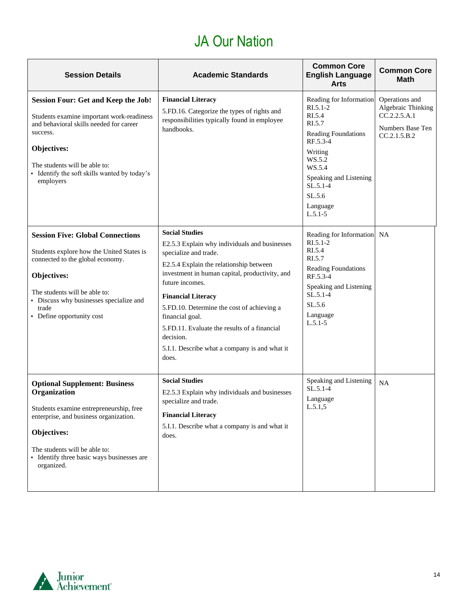## JA Our Nation

| <b>Session Details</b>                                                                                                                                                                                                                                             | <b>Academic Standards</b>                                                                                                                                                                                                                                                                                                                                                                                                            | <b>Common Core</b><br><b>English Language</b><br><b>Arts</b>                                                                                                                                                    | <b>Common Core</b><br><b>Math</b>                                                        |
|--------------------------------------------------------------------------------------------------------------------------------------------------------------------------------------------------------------------------------------------------------------------|--------------------------------------------------------------------------------------------------------------------------------------------------------------------------------------------------------------------------------------------------------------------------------------------------------------------------------------------------------------------------------------------------------------------------------------|-----------------------------------------------------------------------------------------------------------------------------------------------------------------------------------------------------------------|------------------------------------------------------------------------------------------|
| <b>Session Four: Get and Keep the Job!</b><br>Students examine important work-readiness<br>and behavioral skills needed for career<br>success.<br><b>Objectives:</b><br>The students will be able to:<br>• Identify the soft skills wanted by today's<br>employers | <b>Financial Literacy</b><br>5.FD.16. Categorize the types of rights and<br>responsibilities typically found in employee<br>handbooks.                                                                                                                                                                                                                                                                                               | Reading for Information<br>$RI.5.1-2$<br>RI.5.4<br>RI.5.7<br><b>Reading Foundations</b><br>RF.5.3-4<br>Writing<br>WS.5.2<br>WS.5.4<br>Speaking and Listening<br>$SL.5.1-4$<br>SL.5.6<br>Language<br>$L.5.1 - 5$ | Operations and<br>Algebraic Thinking<br>CC.2.2.5.A.1<br>Numbers Base Ten<br>CC.2.1.5.B.2 |
| <b>Session Five: Global Connections</b><br>Students explore how the United States is<br>connected to the global economy.<br>Objectives:<br>The students will be able to:<br>• Discuss why businesses specialize and<br>trade<br>• Define opportunity cost          | <b>Social Studies</b><br>E2.5.3 Explain why individuals and businesses<br>specialize and trade.<br>E2.5.4 Explain the relationship between<br>investment in human capital, productivity, and<br>future incomes.<br><b>Financial Literacy</b><br>5.FD.10. Determine the cost of achieving a<br>financial goal.<br>5.FD.11. Evaluate the results of a financial<br>decision.<br>5.I.1. Describe what a company is and what it<br>does. | Reading for Information<br>$RI.5.1-2$<br>RI.5.4<br>RI.5.7<br>Reading Foundations<br>RF.5.3-4<br>Speaking and Listening<br>$SL.5.1-4$<br>SL.5.6<br>Language<br>$L.5.1 - 5$                                       | <b>NA</b>                                                                                |
| <b>Optional Supplement: Business</b><br>Organization<br>Students examine entrepreneurship, free<br>enterprise, and business organization.<br>Objectives:<br>The students will be able to:<br>• Identify three basic ways businesses are<br>organized.              | <b>Social Studies</b><br>E2.5.3 Explain why individuals and businesses<br>specialize and trade.<br><b>Financial Literacy</b><br>5.I.1. Describe what a company is and what it<br>does.                                                                                                                                                                                                                                               | Speaking and Listening<br>$SL.5.1-4$<br>Language<br>L.5.1,5                                                                                                                                                     | <b>NA</b>                                                                                |

<span id="page-13-0"></span>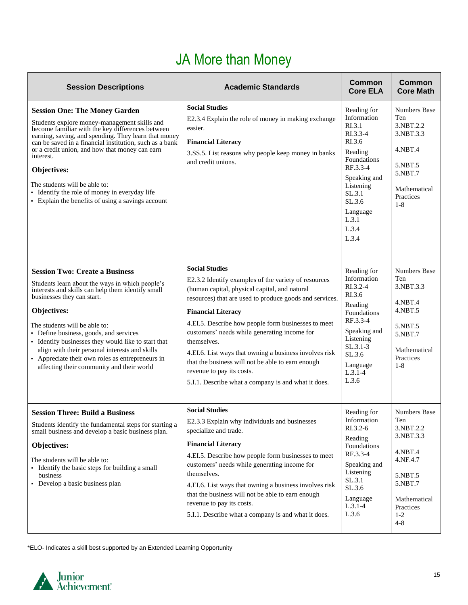## JA More than Money

<span id="page-14-0"></span>

| <b>Session Descriptions</b>                                                                                                                                                                                                                                                                                                                                                                                                                                                      | <b>Academic Standards</b>                                                                                                                                                                                                                                                                                                                                                                                                                                                                                                                       | <b>Common</b><br><b>Core ELA</b>                                                                                                                                                         | Common<br><b>Core Math</b>                                                                                                                           |
|----------------------------------------------------------------------------------------------------------------------------------------------------------------------------------------------------------------------------------------------------------------------------------------------------------------------------------------------------------------------------------------------------------------------------------------------------------------------------------|-------------------------------------------------------------------------------------------------------------------------------------------------------------------------------------------------------------------------------------------------------------------------------------------------------------------------------------------------------------------------------------------------------------------------------------------------------------------------------------------------------------------------------------------------|------------------------------------------------------------------------------------------------------------------------------------------------------------------------------------------|------------------------------------------------------------------------------------------------------------------------------------------------------|
| <b>Session One: The Money Garden</b><br>Students explore money-management skills and<br>become familiar with the key differences between<br>earning, saving, and spending. They learn that money<br>can be saved in a financial institution, such as a bank<br>or a credit union, and how that money can earn<br>interest.<br>Objectives:<br>The students will be able to:<br>• Identify the role of money in everyday life<br>• Explain the benefits of using a savings account | <b>Social Studies</b><br>E2.3.4 Explain the role of money in making exchange<br>easier.<br><b>Financial Literacy</b><br>3.SS.5. List reasons why people keep money in banks<br>and credit unions.                                                                                                                                                                                                                                                                                                                                               | Reading for<br>Information<br>RI.3.1<br>RI.3.3-4<br>RI.3.6<br>Reading<br>Foundations<br>RF.3.3-4<br>Speaking and<br>Listening<br>SL.3.1<br>SL.3.6<br>Language<br>L.3.1<br>L.3.4<br>L.3.4 | <b>Numbers Base</b><br>Ten<br>3.NBT.2.2<br>3.NBT.3.3<br>$4.$ NBT $.4$<br>5.NBT.5<br>5.NBT.7<br>Mathematical<br>Practices<br>$1 - 8$                  |
| <b>Session Two: Create a Business</b><br>Students learn about the ways in which people's<br>interests and skills can help them identify small<br>businesses they can start.<br>Objectives:<br>The students will be able to:<br>• Define business, goods, and services<br>• Identify businesses they would like to start that<br>align with their personal interests and skills<br>• Appreciate their own roles as entrepreneurs in<br>affecting their community and their world  | <b>Social Studies</b><br>E2.3.2 Identify examples of the variety of resources<br>(human capital, physical capital, and natural<br>resources) that are used to produce goods and services.<br><b>Financial Literacy</b><br>4.EI.5. Describe how people form businesses to meet<br>customers' needs while generating income for<br>themselves.<br>4.EI.6. List ways that owning a business involves risk<br>that the business will not be able to earn enough<br>revenue to pay its costs.<br>5.I.1. Describe what a company is and what it does. | Reading for<br>Information<br>RI.3.2-4<br>RI.3.6<br>Reading<br>Foundations<br>RF.3.3-4<br>Speaking and<br>Listening<br>$SL.3.1-3$<br>SL.3.6<br>Language<br>$L.3.1 - 4$<br>L.3.6          | <b>Numbers Base</b><br>Ten<br>3.NBT.3.3<br>$4.$ NBT $.4$<br>$4.$ NBT $.5$<br>5.NBT.5<br>5.NBT.7<br>Mathematical<br>Practices<br>$1 - 8$              |
| <b>Session Three: Build a Business</b><br>Students identify the fundamental steps for starting a<br>small business and develop a basic business plan.<br>Objectives:<br>The students will be able to:<br>• Identify the basic steps for building a small<br>business<br>• Develop a basic business plan                                                                                                                                                                          | <b>Social Studies</b><br>E2.3.3 Explain why individuals and businesses<br>specialize and trade.<br><b>Financial Literacy</b><br>4.EI.5. Describe how people form businesses to meet<br>customers' needs while generating income for<br>themselves.<br>4.EI.6. List ways that owning a business involves risk<br>that the business will not be able to earn enough<br>revenue to pay its costs.<br>5.I.1. Describe what a company is and what it does.                                                                                           | Reading for<br>Information<br>RI.3.2-6<br>Reading<br>Foundations<br>RF.3.3-4<br>Speaking and<br>Listening<br>SL.3.1<br>SL.3.6<br>Language<br>$L.3.1-4$<br>L.3.6                          | <b>Numbers Base</b><br>Ten<br>3.NBT.2.2<br>3.NBT.3.3<br>4.NBT.4<br>4.NF.4.7<br>5.NBT.5<br>5.NBT.7<br>Mathematical<br>Practices<br>$1 - 2$<br>$4 - 8$ |

\*ELO- Indicates a skill best supported by an Extended Learning Opportunity

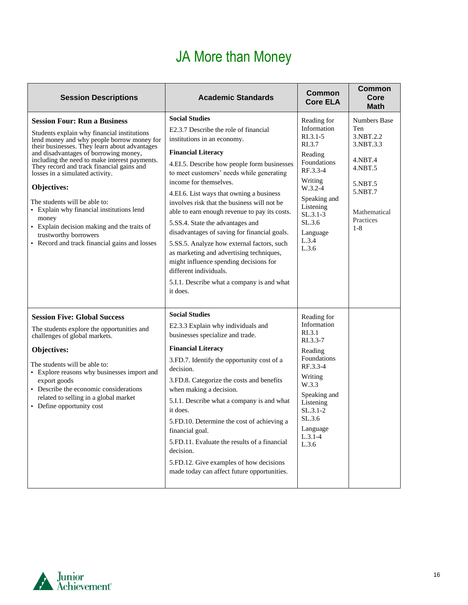## JA More than Money

| <b>Session Descriptions</b>                                                                                                                                                                                                                                                                                                                                                                                                                                                                                                                                                                | <b>Academic Standards</b>                                                                                                                                                                                                                                                                                                                                                                                                                                                                                                                                                                                                                                                                                | Common<br><b>Core ELA</b>                                                                                                                                                                             | <b>Common</b><br>Core<br><b>Math</b>                                                                                                     |
|--------------------------------------------------------------------------------------------------------------------------------------------------------------------------------------------------------------------------------------------------------------------------------------------------------------------------------------------------------------------------------------------------------------------------------------------------------------------------------------------------------------------------------------------------------------------------------------------|----------------------------------------------------------------------------------------------------------------------------------------------------------------------------------------------------------------------------------------------------------------------------------------------------------------------------------------------------------------------------------------------------------------------------------------------------------------------------------------------------------------------------------------------------------------------------------------------------------------------------------------------------------------------------------------------------------|-------------------------------------------------------------------------------------------------------------------------------------------------------------------------------------------------------|------------------------------------------------------------------------------------------------------------------------------------------|
| <b>Session Four: Run a Business</b><br>Students explain why financial institutions<br>lend money and why people borrow money for<br>their businesses. They learn about advantages<br>and disadvantages of borrowing money,<br>including the need to make interest payments.<br>They record and track financial gains and<br>losses in a simulated activity.<br>Objectives:<br>The students will be able to:<br>• Explain why financial institutions lend<br>money<br>• Explain decision making and the traits of<br>trustworthy borrowers<br>• Record and track financial gains and losses | <b>Social Studies</b><br>E2.3.7 Describe the role of financial<br>institutions in an economy.<br><b>Financial Literacy</b><br>4.EI.5. Describe how people form businesses<br>to meet customers' needs while generating<br>income for themselves.<br>4.EI.6. List ways that owning a business<br>involves risk that the business will not be<br>able to earn enough revenue to pay its costs.<br>5.SS.4. State the advantages and<br>disadvantages of saving for financial goals.<br>5.SS.5. Analyze how external factors, such<br>as marketing and advertising techniques,<br>might influence spending decisions for<br>different individuals.<br>5.I.1. Describe what a company is and what<br>it does. | Reading for<br>Information<br>$R1.3.1-5$<br>RI.3.7<br>Reading<br>Foundations<br>RF.3.3-4<br>Writing<br>$W.3.2 - 4$<br>Speaking and<br>Listening<br>$SL.3.1-3$<br>SL.3.6<br>Language<br>L.3.4<br>L.3.6 | <b>Numbers Base</b><br>Ten<br>3.NBT.2.2<br>3.NBT.3.3<br>4.NBT.4<br>4.NBT.5<br>5.NBT.5<br>5.NBT.7<br>Mathematical<br>Practices<br>$1 - 8$ |
| <b>Session Five: Global Success</b><br>The students explore the opportunities and<br>challenges of global markets.<br>Objectives:<br>The students will be able to:<br>• Explore reasons why businesses import and<br>export goods<br>• Describe the economic considerations<br>related to selling in a global market<br>• Define opportunity cost                                                                                                                                                                                                                                          | <b>Social Studies</b><br>E2.3.3 Explain why individuals and<br>businesses specialize and trade.<br><b>Financial Literacy</b><br>3.FD.7. Identify the opportunity cost of a<br>decision.<br>3.FD.8. Categorize the costs and benefits<br>when making a decision.<br>5.I.1. Describe what a company is and what<br>it does.<br>5.FD.10. Determine the cost of achieving a<br>financial goal.<br>5.FD.11. Evaluate the results of a financial<br>decision.<br>5.FD.12. Give examples of how decisions<br>made today can affect future opportunities.                                                                                                                                                        | Reading for<br>Information<br>RI.3.1<br>$R1.3.3-7$<br>Reading<br>Foundations<br>RF.3.3-4<br>Writing<br>W.3.3<br>Speaking and<br>Listening<br>$SL.3.1-2$<br>SL.3.6<br>Language<br>$L.3.1-4$<br>L.3.6   |                                                                                                                                          |

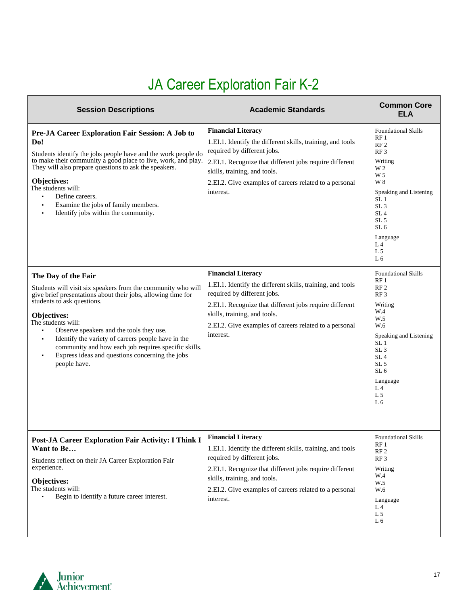# JA Career Exploration Fair K-2

| <b>Session Descriptions</b>                                                                                                                                                                                                                                                                                                                                                                                                                                     | <b>Academic Standards</b>                                                                                                                                                                                                                                                                                                                                                           | <b>Common Core</b><br><b>ELA</b>                                                                                                                                                                                                                                                                                                                               |
|-----------------------------------------------------------------------------------------------------------------------------------------------------------------------------------------------------------------------------------------------------------------------------------------------------------------------------------------------------------------------------------------------------------------------------------------------------------------|-------------------------------------------------------------------------------------------------------------------------------------------------------------------------------------------------------------------------------------------------------------------------------------------------------------------------------------------------------------------------------------|----------------------------------------------------------------------------------------------------------------------------------------------------------------------------------------------------------------------------------------------------------------------------------------------------------------------------------------------------------------|
| Pre-JA Career Exploration Fair Session: A Job to<br>Do!<br>Students identify the jobs people have and the work people do<br>to make their community a good place to live, work, and play.<br>They will also prepare questions to ask the speakers.<br><b>Objectives:</b><br>The students will:<br>Define careers.<br>$\blacksquare$<br>Examine the jobs of family members.<br>٠<br>Identify jobs within the community.<br>$\blacksquare$<br>The Day of the Fair | <b>Financial Literacy</b><br>1.EI.1. Identify the different skills, training, and tools<br>required by different jobs.<br>2.EI.1. Recognize that different jobs require different<br>skills, training, and tools.<br>2.EI.2. Give examples of careers related to a personal<br>interest.<br><b>Financial Literacy</b><br>1.EI.1. Identify the different skills, training, and tools | <b>Foundational Skills</b><br>RF1<br>RF <sub>2</sub><br>RF <sub>3</sub><br>Writing<br>W 2<br>W <sub>5</sub><br>W 8<br>Speaking and Listening<br>SL <sub>1</sub><br>SL <sub>3</sub><br>SL <sub>4</sub><br>SL <sub>5</sub><br>SL <sub>6</sub><br>Language<br>L <sub>4</sub><br>L <sub>5</sub><br>L <sub>6</sub><br><b>Foundational Skills</b><br>RF <sub>1</sub> |
| Students will visit six speakers from the community who will<br>give brief presentations about their jobs, allowing time for<br>students to ask questions.<br><b>Objectives:</b><br>The students will:<br>Observe speakers and the tools they use.<br>Identify the variety of careers people have in the<br>٠<br>community and how each job requires specific skills.<br>Express ideas and questions concerning the jobs<br>$\blacksquare$<br>people have.      | required by different jobs.<br>2.EI.1. Recognize that different jobs require different<br>skills, training, and tools.<br>2.EI.2. Give examples of careers related to a personal<br>interest.                                                                                                                                                                                       | RF <sub>2</sub><br>RF <sub>3</sub><br>Writing<br>W.4<br>W.5<br>W.6<br>Speaking and Listening<br>SL 1<br>SL <sub>3</sub><br>SL <sub>4</sub><br>SL <sub>5</sub><br>SL <sub>6</sub><br>Language<br>L <sub>4</sub><br>L <sub>5</sub><br>L 6                                                                                                                        |
| Post-JA Career Exploration Fair Activity: I Think I Financial Literacy<br>Want to Be<br>Students reflect on their JA Career Exploration Fair<br>experience.<br><b>Objectives:</b><br>The students will:<br>Begin to identify a future career interest.                                                                                                                                                                                                          | 1.EI.1. Identify the different skills, training, and tools<br>required by different jobs.<br>2.EI.1. Recognize that different jobs require different<br>skills, training, and tools.<br>2.EI.2. Give examples of careers related to a personal<br>interest.                                                                                                                         | <b>Foundational Skills</b><br>RF1<br>RF <sub>2</sub><br>RF3<br>Writing<br>W.4<br>W.5<br>W.6<br>Language<br>L 4<br>L 5<br>L 6                                                                                                                                                                                                                                   |

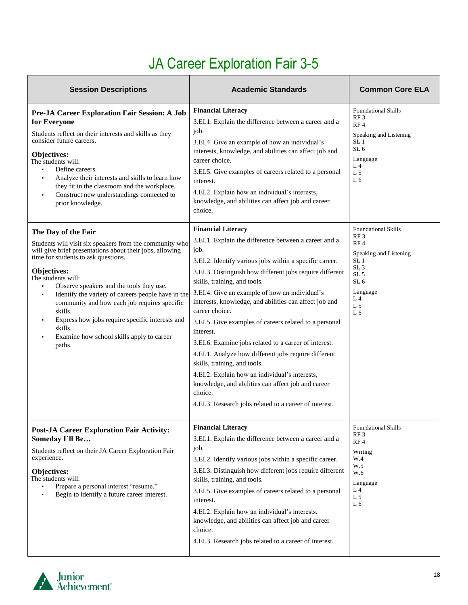# JA Career Exploration Fair 3-5

| <b>Session Descriptions</b>                                                                                                                                                                                                                                                                                                                                                                                                                                                                                        | <b>Academic Standards</b>                                                                                                                                                                                                                                                                                                                                                                                                                                                                                                                                                                                                                                                                                                                                                            | <b>Common Core ELA</b>                                                                                                                                                                                                                   |
|--------------------------------------------------------------------------------------------------------------------------------------------------------------------------------------------------------------------------------------------------------------------------------------------------------------------------------------------------------------------------------------------------------------------------------------------------------------------------------------------------------------------|--------------------------------------------------------------------------------------------------------------------------------------------------------------------------------------------------------------------------------------------------------------------------------------------------------------------------------------------------------------------------------------------------------------------------------------------------------------------------------------------------------------------------------------------------------------------------------------------------------------------------------------------------------------------------------------------------------------------------------------------------------------------------------------|------------------------------------------------------------------------------------------------------------------------------------------------------------------------------------------------------------------------------------------|
| Pre-JA Career Exploration Fair Session: A Job<br>for Everyone<br>Students reflect on their interests and skills as they<br>consider future careers.<br>Objectives:<br>The students will:<br>Define careers.<br>Analyze their interests and skills to learn how<br>$\blacksquare$<br>they fit in the classroom and the workplace.<br>Construct new understandings connected to<br>prior knowledge.                                                                                                                  | <b>Financial Literacy</b><br>3.EI.1. Explain the difference between a career and a<br>job.<br>3.EI.4. Give an example of how an individual's<br>interests, knowledge, and abilities can affect job and<br>career choice.<br>3.EI.5. Give examples of careers related to a personal<br>interest.<br>4.EI.2. Explain how an individual's interests,<br>knowledge, and abilities can affect job and career<br>choice.                                                                                                                                                                                                                                                                                                                                                                   | <b>Foundational Skills</b><br>RF3<br>RF <sub>4</sub><br>Speaking and Listening<br>SL <sub>1</sub><br>SL <sub>6</sub><br>Language<br>L <sub>4</sub><br>L <sub>5</sub><br>L <sub>6</sub>                                                   |
| The Day of the Fair<br>Students will visit six speakers from the community who<br>will give brief presentations about their jobs, allowing<br>time for students to ask questions.<br>Objectives:<br>The students will:<br>Observe speakers and the tools they use.<br>٠<br>Identify the variety of careers people have in the<br>٠<br>community and how each job requires specific<br>skills.<br>Express how jobs require specific interests and<br>skills.<br>Examine how school skills apply to career<br>paths. | <b>Financial Literacy</b><br>3.EI.1. Explain the difference between a career and a<br>job.<br>3.EI.2. Identify various jobs within a specific career.<br>3.EI.3. Distinguish how different jobs require different<br>skills, training, and tools.<br>3.EI.4. Give an example of how an individual's<br>interests, knowledge, and abilities can affect job and<br>career choice.<br>3.EI.5. Give examples of careers related to a personal<br>interest.<br>3.EI.6. Examine jobs related to a career of interest.<br>4.EI.1. Analyze how different jobs require different<br>skills, training, and tools.<br>4.EI.2. Explain how an individual's interests,<br>knowledge, and abilities can affect job and career<br>choice.<br>4.EI.3. Research jobs related to a career of interest. | <b>Foundational Skills</b><br>RF <sub>3</sub><br>RF <sub>4</sub><br>Speaking and Listening<br>SL <sub>1</sub><br>SL <sub>3</sub><br>SL <sub>5</sub><br>SL <sub>6</sub><br>Language<br>L <sub>4</sub><br>L <sub>5</sub><br>L <sub>6</sub> |
| <b>Post-JA Career Exploration Fair Activity:</b><br>Someday I'll Be<br>Students reflect on their JA Career Exploration Fair<br>experience.<br>Objectives:<br>The students will:<br>Prepare a personal interest "resume."<br>Begin to identify a future career interest.                                                                                                                                                                                                                                            | <b>Financial Literacy</b><br>3.EI.1. Explain the difference between a career and a<br>job.<br>3.EI.2. Identify various jobs within a specific career.<br>3.EI.3. Distinguish how different jobs require different<br>skills, training, and tools.<br>3.EI.5. Give examples of careers related to a personal<br>interest.<br>4.EI.2. Explain how an individual's interests,<br>knowledge, and abilities can affect job and career<br>choice.<br>4.EI.3. Research jobs related to a career of interest.                                                                                                                                                                                                                                                                                | <b>Foundational Skills</b><br>RF <sub>3</sub><br>RF4<br>Writing<br>W.4<br>W.5<br>W.6<br>Language<br>L 4<br>L <sub>5</sub><br>L6                                                                                                          |